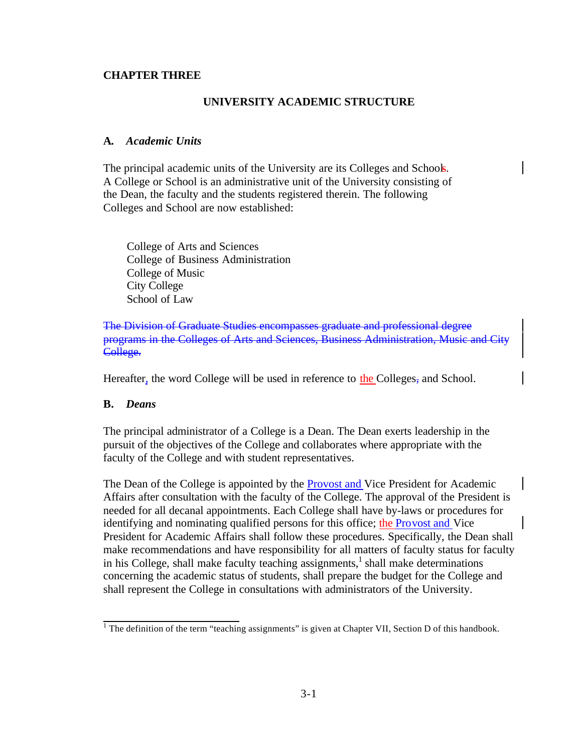## **CHAPTER THREE**

# **UNIVERSITY ACADEMIC STRUCTURE**

## **A.** *Academic Units*

The principal academic units of the University are its Colleges and Schools. A College or School is an administrative unit of the University consisting of the Dean, the faculty and the students registered therein. The following Colleges and School are now established:

College of Arts and Sciences College of Business Administration College of Music City College School of Law

The Division of Graduate Studies encompasses graduate and professional degree programs in the Colleges of Arts and Sciences, Business Administration, Music and College.

Hereafter, the word College will be used in reference to the Colleges, and School.

## **B.** *Deans*

l

The principal administrator of a College is a Dean. The Dean exerts leadership in the pursuit of the objectives of the College and collaborates where appropriate with the faculty of the College and with student representatives.

The Dean of the College is appointed by the Provost and Vice President for Academic Affairs after consultation with the faculty of the College. The approval of the President is needed for all decanal appointments. Each College shall have by-laws or procedures for identifying and nominating qualified persons for this office; the Provost and Vice President for Academic Affairs shall follow these procedures. Specifically, the Dean shall make recommendations and have responsibility for all matters of faculty status for faculty in his College, shall make faculty teaching assignments, $<sup>1</sup>$  shall make determinations</sup> concerning the academic status of students, shall prepare the budget for the College and shall represent the College in consultations with administrators of the University.

<sup>&</sup>lt;sup>1</sup> The definition of the term "teaching assignments" is given at Chapter VII, Section D of this handbook.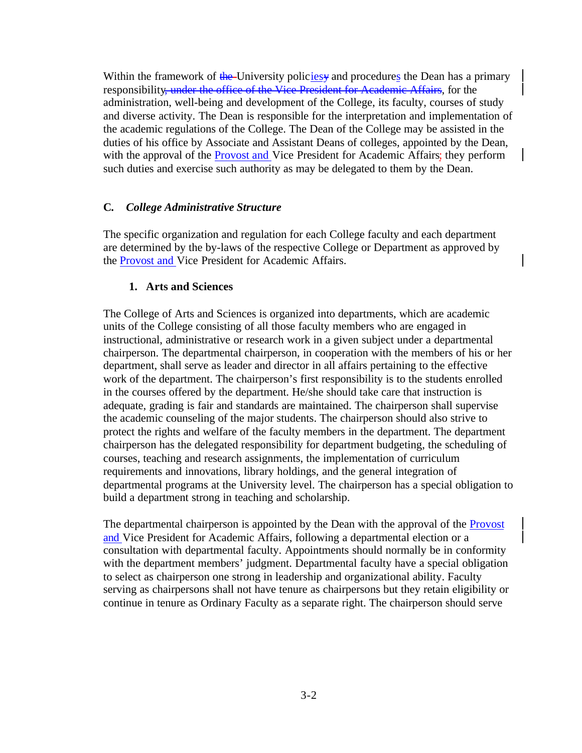Within the framework of the University policies and procedures the Dean has a primary responsibility, under the office of the Vice President for Academic Affairs, for the administration, well-being and development of the College, its faculty, courses of study and diverse activity. The Dean is responsible for the interpretation and implementation of the academic regulations of the College. The Dean of the College may be assisted in the duties of his office by Associate and Assistant Deans of colleges, appointed by the Dean, with the approval of the Provost and Vice President for Academic Affairs; they perform such duties and exercise such authority as may be delegated to them by the Dean.

## **C.** *College Administrative Structure*

The specific organization and regulation for each College faculty and each department are determined by the by-laws of the respective College or Department as approved by the Provost and Vice President for Academic Affairs.

### **1. Arts and Sciences**

The College of Arts and Sciences is organized into departments, which are academic units of the College consisting of all those faculty members who are engaged in instructional, administrative or research work in a given subject under a departmental chairperson. The departmental chairperson, in cooperation with the members of his or her department, shall serve as leader and director in all affairs pertaining to the effective work of the department. The chairperson's first responsibility is to the students enrolled in the courses offered by the department. He/she should take care that instruction is adequate, grading is fair and standards are maintained. The chairperson shall supervise the academic counseling of the major students. The chairperson should also strive to protect the rights and welfare of the faculty members in the department. The department chairperson has the delegated responsibility for department budgeting, the scheduling of courses, teaching and research assignments, the implementation of curriculum requirements and innovations, library holdings, and the general integration of departmental programs at the University level. The chairperson has a special obligation to build a department strong in teaching and scholarship.

The departmental chairperson is appointed by the Dean with the approval of the Provost and Vice President for Academic Affairs, following a departmental election or a consultation with departmental faculty. Appointments should normally be in conformity with the department members' judgment. Departmental faculty have a special obligation to select as chairperson one strong in leadership and organizational ability. Faculty serving as chairpersons shall not have tenure as chairpersons but they retain eligibility or continue in tenure as Ordinary Faculty as a separate right. The chairperson should serve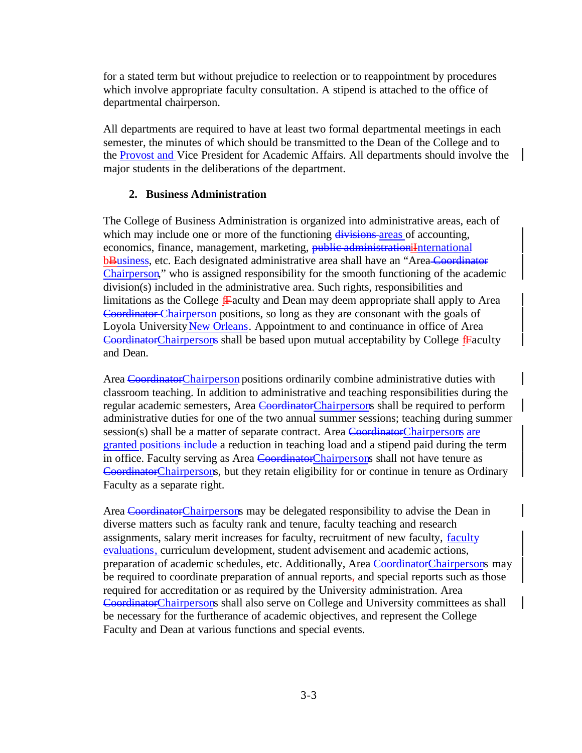for a stated term but without prejudice to reelection or to reappointment by procedures which involve appropriate faculty consultation. A stipend is attached to the office of departmental chairperson.

All departments are required to have at least two formal departmental meetings in each semester, the minutes of which should be transmitted to the Dean of the College and to the Provost and Vice President for Academic Affairs. All departments should involve the major students in the deliberations of the department.

## **2. Business Administration**

The College of Business Administration is organized into administrative areas, each of which may include one or more of the functioning divisions areas of accounting, economics, finance, management, marketing, public administrationiInternational bBusiness, etc. Each designated administrative area shall have an "Area Coordinator Chairperson," who is assigned responsibility for the smooth functioning of the academic division(s) included in the administrative area. Such rights, responsibilities and limitations as the College  $f$ Faculty and Dean may deem appropriate shall apply to Area Coordinator Chairperson positions, so long as they are consonant with the goals of Loyola University New Orleans. Appointment to and continuance in office of Area CoordinatorChairpersons shall be based upon mutual acceptability by College fFaculty and Dean.

Area CoordinatorChairperson positions ordinarily combine administrative duties with classroom teaching. In addition to administrative and teaching responsibilities during the regular academic semesters, Area CoordinatorChairpersons shall be required to perform administrative duties for one of the two annual summer sessions; teaching during summer session(s) shall be a matter of separate contract. Area CoordinatorChairpersons are granted positions include a reduction in teaching load and a stipend paid during the term in office. Faculty serving as Area CoordinatorChairpersons shall not have tenure as CoordinatorChairpersons, but they retain eligibility for or continue in tenure as Ordinary Faculty as a separate right.

Area CoordinatorChairpersons may be delegated responsibility to advise the Dean in diverse matters such as faculty rank and tenure, faculty teaching and research assignments, salary merit increases for faculty, recruitment of new faculty, faculty evaluations, curriculum development, student advisement and academic actions, preparation of academic schedules, etc. Additionally, Area CoordinatorChairpersons may be required to coordinate preparation of annual reports, and special reports such as those required for accreditation or as required by the University administration. Area CoordinatorChairpersons shall also serve on College and University committees as shall be necessary for the furtherance of academic objectives, and represent the College Faculty and Dean at various functions and special events.